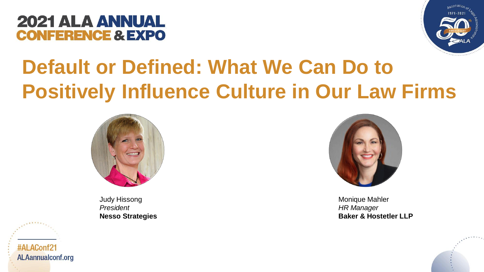



### **Default or Defined: What We Can Do to Positively Influence Culture in Our Law Firms**



Judy Hissong *President* **Nesso Strategies**



Monique Mahler *HR Manager* **Baker & Hostetler LLP**



#ALAConf21 **ALAannualconf.org**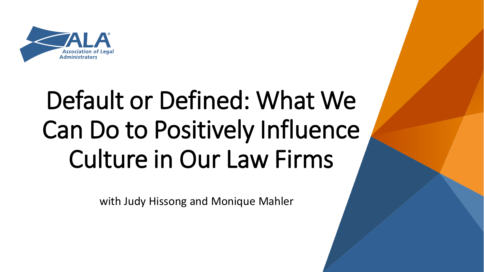

# Default or Defined: What We Can Do to Positively Influence Culture in Our Law Firms

with Judy Hissong and Monique Mahler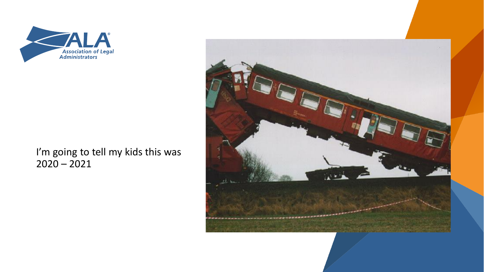

I'm going to tell my kids this was  $2020 - 2021$ 

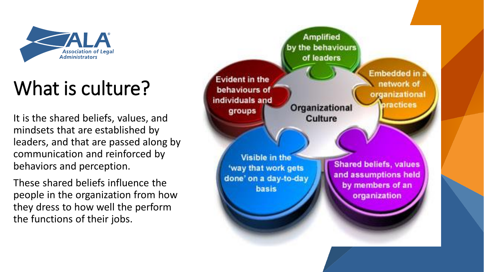

## What is culture?

It is the shared beliefs, values, and mindsets that are established by leaders, and that are passed along by communication and reinforced by behaviors and perception.

These shared beliefs influence the people in the organization from how they dress to how well the perform the functions of their jobs.

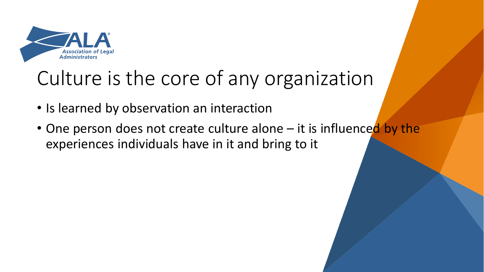

### Culture is the core of any organization

- Is learned by observation an interaction
- One person does not create culture alone it is influenced by the experiences individuals have in it and bring to it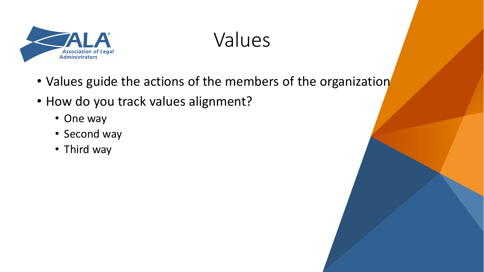

Values

- Values guide the actions of the members of the organization
- How do you track values alignment?
	- One way
	- Second way
	- Third way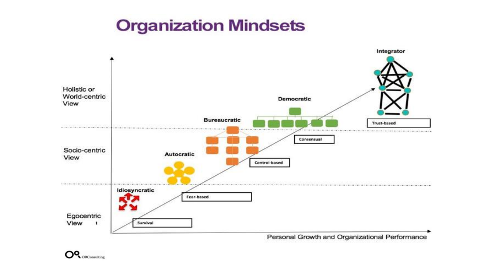#### **Organization Mindsets**



**IQ** ORConsulting O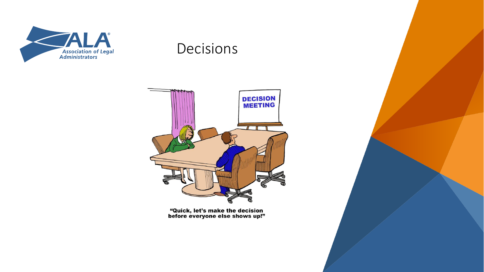

#### **Decisions**



"Quick, let's make the decision<br>before everyone else shows up!"

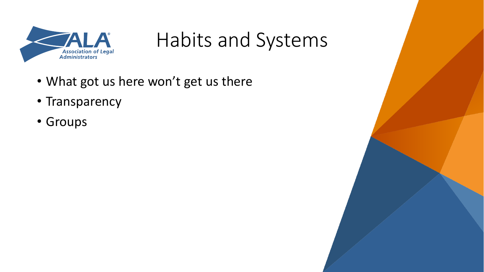

Habits and Systems

- What got us here won't get us there
- Transparency
- Groups

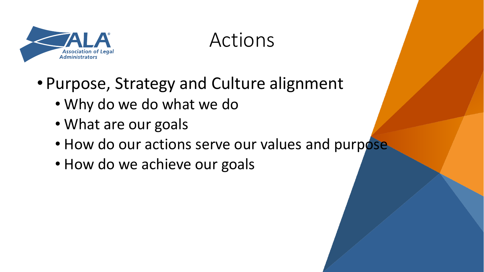

#### Actions

- Purpose, Strategy and Culture alignment
	- Why do we do what we do
	- What are our goals
	- How do our actions serve our values and purpose
	- How do we achieve our goals